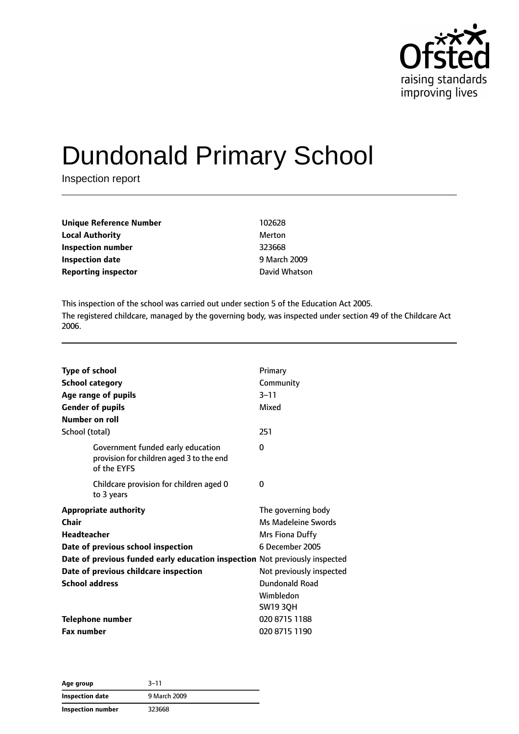

# Dundonald Primary School

Inspection report

| Unique Reference Number    | 102628        |
|----------------------------|---------------|
| <b>Local Authority</b>     | Merton        |
| Inspection number          | 323668        |
| <b>Inspection date</b>     | 9 March 2009  |
| <b>Reporting inspector</b> | David Whatson |

This inspection of the school was carried out under section 5 of the Education Act 2005. The registered childcare, managed by the governing body, was inspected under section 49 of the Childcare Act 2006.

| <b>Type of school</b><br>Number on roll | <b>School category</b><br>Age range of pupils<br><b>Gender of pupils</b>                                          | Primary<br>Community<br>$3 - 11$<br>Mixed |
|-----------------------------------------|-------------------------------------------------------------------------------------------------------------------|-------------------------------------------|
| School (total)                          |                                                                                                                   | 251                                       |
|                                         | Government funded early education<br>provision for children aged 3 to the end<br>of the EYFS                      | 0                                         |
|                                         | Childcare provision for children aged 0<br>to 3 years                                                             | 0                                         |
|                                         | <b>Appropriate authority</b>                                                                                      | The governing body                        |
| Chair<br><b>Headteacher</b>             |                                                                                                                   | Ms Madeleine Swords                       |
|                                         |                                                                                                                   | Mrs Fiona Duffy<br>6 December 2005        |
|                                         | Date of previous school inspection<br>Date of previous funded early education inspection Not previously inspected |                                           |
|                                         | Date of previous childcare inspection                                                                             | Not previously inspected                  |
| <b>School address</b>                   |                                                                                                                   | Dundonald Road                            |
|                                         |                                                                                                                   | Wimbledon                                 |
|                                         |                                                                                                                   | <b>SW19 3QH</b>                           |
|                                         | <b>Telephone number</b>                                                                                           | 020 8715 1188                             |
| <b>Fax number</b>                       |                                                                                                                   | 020 8715 1190                             |
|                                         |                                                                                                                   |                                           |

**Age group** 3–11 **Inspection date** 9 March 2009 **Inspection number** 323668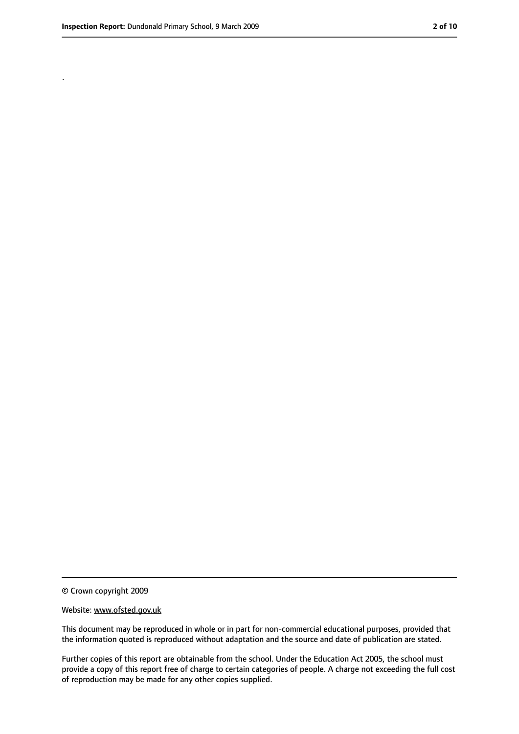.

<sup>©</sup> Crown copyright 2009

Website: www.ofsted.gov.uk

This document may be reproduced in whole or in part for non-commercial educational purposes, provided that the information quoted is reproduced without adaptation and the source and date of publication are stated.

Further copies of this report are obtainable from the school. Under the Education Act 2005, the school must provide a copy of this report free of charge to certain categories of people. A charge not exceeding the full cost of reproduction may be made for any other copies supplied.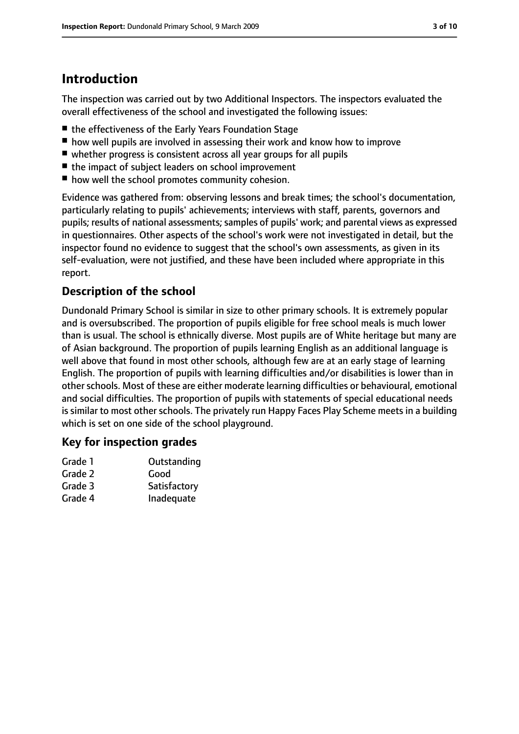# **Introduction**

The inspection was carried out by two Additional Inspectors. The inspectors evaluated the overall effectiveness of the school and investigated the following issues:

- the effectiveness of the Early Years Foundation Stage
- how well pupils are involved in assessing their work and know how to improve
- whether progress is consistent across all year groups for all pupils
- the impact of subject leaders on school improvement
- how well the school promotes community cohesion.

Evidence was gathered from: observing lessons and break times; the school's documentation, particularly relating to pupils' achievements; interviews with staff, parents, governors and pupils; results of national assessments; samples of pupils' work; and parental views as expressed in questionnaires. Other aspects of the school's work were not investigated in detail, but the inspector found no evidence to suggest that the school's own assessments, as given in its self-evaluation, were not justified, and these have been included where appropriate in this report.

## **Description of the school**

Dundonald Primary School is similar in size to other primary schools. It is extremely popular and is oversubscribed. The proportion of pupils eligible for free school meals is much lower than is usual. The school is ethnically diverse. Most pupils are of White heritage but many are of Asian background. The proportion of pupils learning English as an additional language is well above that found in most other schools, although few are at an early stage of learning English. The proportion of pupils with learning difficulties and/or disabilities is lower than in other schools. Most of these are either moderate learning difficulties or behavioural, emotional and social difficulties. The proportion of pupils with statements of special educational needs is similar to most other schools. The privately run Happy Faces Play Scheme meets in a building which is set on one side of the school playground.

#### **Key for inspection grades**

| Grade 1 | Outstanding  |
|---------|--------------|
| Grade 2 | Good         |
| Grade 3 | Satisfactory |
| Grade 4 | Inadequate   |
|         |              |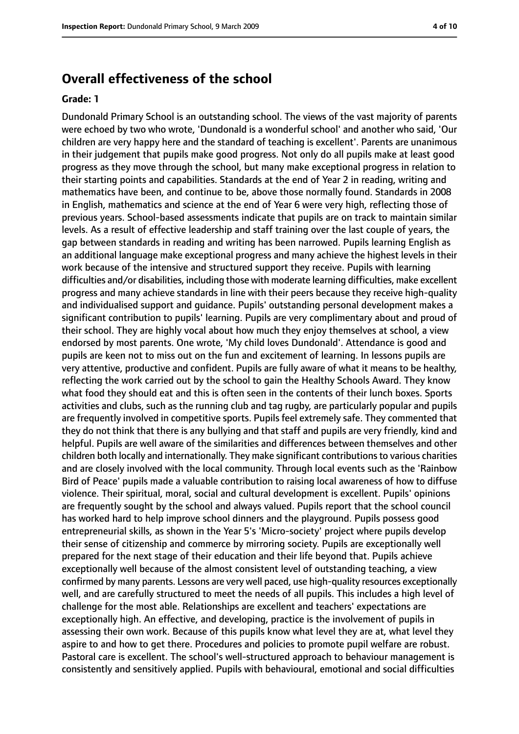## **Overall effectiveness of the school**

#### **Grade: 1**

Dundonald Primary School is an outstanding school. The views of the vast majority of parents were echoed by two who wrote, 'Dundonald is a wonderful school' and another who said, 'Our children are very happy here and the standard of teaching is excellent'. Parents are unanimous in their judgement that pupils make good progress. Not only do all pupils make at least good progress as they move through the school, but many make exceptional progress in relation to their starting points and capabilities. Standards at the end of Year 2 in reading, writing and mathematics have been, and continue to be, above those normally found. Standards in 2008 in English, mathematics and science at the end of Year 6 were very high, reflecting those of previous years. School-based assessments indicate that pupils are on track to maintain similar levels. As a result of effective leadership and staff training over the last couple of years, the gap between standards in reading and writing has been narrowed. Pupils learning English as an additional language make exceptional progress and many achieve the highest levels in their work because of the intensive and structured support they receive. Pupils with learning difficulties and/or disabilities, including those with moderate learning difficulties, make excellent progress and many achieve standards in line with their peers because they receive high-quality and individualised support and guidance. Pupils' outstanding personal development makes a significant contribution to pupils' learning. Pupils are very complimentary about and proud of their school. They are highly vocal about how much they enjoy themselves at school, a view endorsed by most parents. One wrote, 'My child loves Dundonald'. Attendance is good and pupils are keen not to miss out on the fun and excitement of learning. In lessons pupils are very attentive, productive and confident. Pupils are fully aware of what it means to be healthy, reflecting the work carried out by the school to gain the Healthy Schools Award. They know what food they should eat and this is often seen in the contents of their lunch boxes. Sports activities and clubs, such as the running club and tag rugby, are particularly popular and pupils are frequently involved in competitive sports. Pupils feel extremely safe. They commented that they do not think that there is any bullying and that staff and pupils are very friendly, kind and helpful. Pupils are well aware of the similarities and differences between themselves and other children both locally and internationally. They make significant contributionsto various charities and are closely involved with the local community. Through local events such as the 'Rainbow Bird of Peace' pupils made a valuable contribution to raising local awareness of how to diffuse violence. Their spiritual, moral, social and cultural development is excellent. Pupils' opinions are frequently sought by the school and always valued. Pupils report that the school council has worked hard to help improve school dinners and the playground. Pupils possess good entrepreneurial skills, as shown in the Year 5's 'Micro-society' project where pupils develop their sense of citizenship and commerce by mirroring society. Pupils are exceptionally well prepared for the next stage of their education and their life beyond that. Pupils achieve exceptionally well because of the almost consistent level of outstanding teaching, a view confirmed by many parents. Lessons are very well paced, use high-quality resources exceptionally well, and are carefully structured to meet the needs of all pupils. This includes a high level of challenge for the most able. Relationships are excellent and teachers' expectations are exceptionally high. An effective, and developing, practice is the involvement of pupils in assessing their own work. Because of this pupils know what level they are at, what level they aspire to and how to get there. Procedures and policies to promote pupil welfare are robust. Pastoral care is excellent. The school's well-structured approach to behaviour management is consistently and sensitively applied. Pupils with behavioural, emotional and social difficulties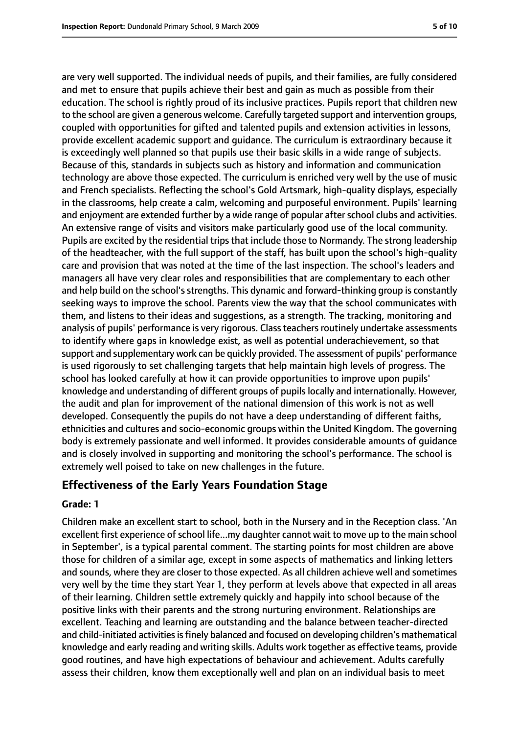are very well supported. The individual needs of pupils, and their families, are fully considered and met to ensure that pupils achieve their best and gain as much as possible from their education. The school is rightly proud of its inclusive practices. Pupils report that children new to the school are given a generous welcome. Carefully targeted support and intervention groups, coupled with opportunities for gifted and talented pupils and extension activities in lessons, provide excellent academic support and guidance. The curriculum is extraordinary because it is exceedingly well planned so that pupils use their basic skills in a wide range of subjects. Because of this, standards in subjects such as history and information and communication technology are above those expected. The curriculum is enriched very well by the use of music and French specialists. Reflecting the school's Gold Artsmark, high-quality displays, especially in the classrooms, help create a calm, welcoming and purposeful environment. Pupils' learning and enjoyment are extended further by a wide range of popular after school clubs and activities. An extensive range of visits and visitors make particularly good use of the local community. Pupils are excited by the residential trips that include those to Normandy. The strong leadership of the headteacher, with the full support of the staff, has built upon the school's high-quality care and provision that was noted at the time of the last inspection. The school's leaders and managers all have very clear roles and responsibilities that are complementary to each other and help build on the school's strengths. This dynamic and forward-thinking group is constantly seeking ways to improve the school. Parents view the way that the school communicates with them, and listens to their ideas and suggestions, as a strength. The tracking, monitoring and analysis of pupils' performance is very rigorous. Class teachers routinely undertake assessments to identify where gaps in knowledge exist, as well as potential underachievement, so that support and supplementary work can be quickly provided. The assessment of pupils' performance is used rigorously to set challenging targets that help maintain high levels of progress. The school has looked carefully at how it can provide opportunities to improve upon pupils' knowledge and understanding of different groups of pupils locally and internationally. However, the audit and plan for improvement of the national dimension of this work is not as well developed. Consequently the pupils do not have a deep understanding of different faiths, ethnicities and cultures and socio-economic groups within the United Kingdom. The governing body is extremely passionate and well informed. It provides considerable amounts of guidance and is closely involved in supporting and monitoring the school's performance. The school is extremely well poised to take on new challenges in the future.

## **Effectiveness of the Early Years Foundation Stage**

#### **Grade: 1**

Children make an excellent start to school, both in the Nursery and in the Reception class. 'An excellent first experience of school life...my daughter cannot wait to move up to the main school in September', is a typical parental comment. The starting points for most children are above those for children of a similar age, except in some aspects of mathematics and linking letters and sounds, where they are closer to those expected. As all children achieve well and sometimes very well by the time they start Year 1, they perform at levels above that expected in all areas of their learning. Children settle extremely quickly and happily into school because of the positive links with their parents and the strong nurturing environment. Relationships are excellent. Teaching and learning are outstanding and the balance between teacher-directed and child-initiated activities is finely balanced and focused on developing children's mathematical knowledge and early reading and writing skills. Adults work together as effective teams, provide good routines, and have high expectations of behaviour and achievement. Adults carefully assess their children, know them exceptionally well and plan on an individual basis to meet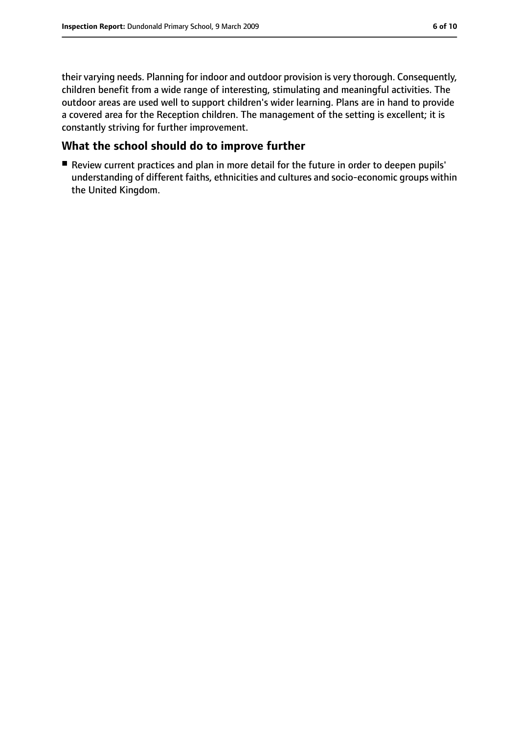their varying needs. Planning for indoor and outdoor provision is very thorough. Consequently, children benefit from a wide range of interesting, stimulating and meaningful activities. The outdoor areas are used well to support children's wider learning. Plans are in hand to provide a covered area for the Reception children. The management of the setting is excellent; it is constantly striving for further improvement.

## **What the school should do to improve further**

■ Review current practices and plan in more detail for the future in order to deepen pupils' understanding of different faiths, ethnicities and cultures and socio-economic groups within the United Kingdom.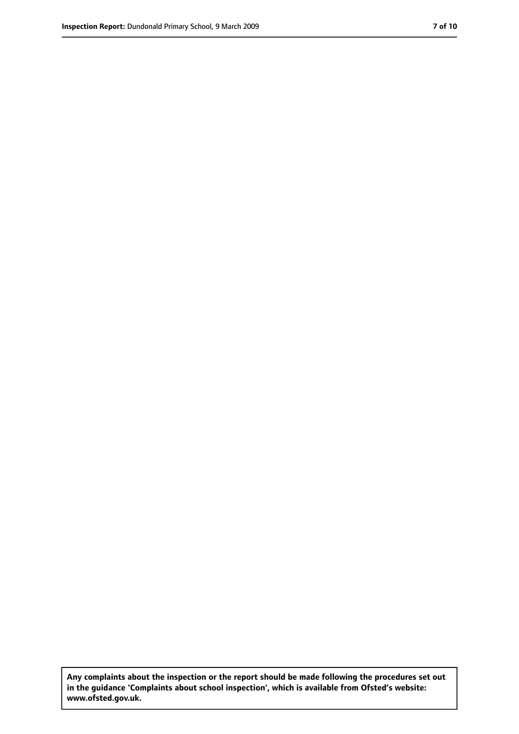**Any complaints about the inspection or the report should be made following the procedures set out in the guidance 'Complaints about school inspection', which is available from Ofsted's website: www.ofsted.gov.uk.**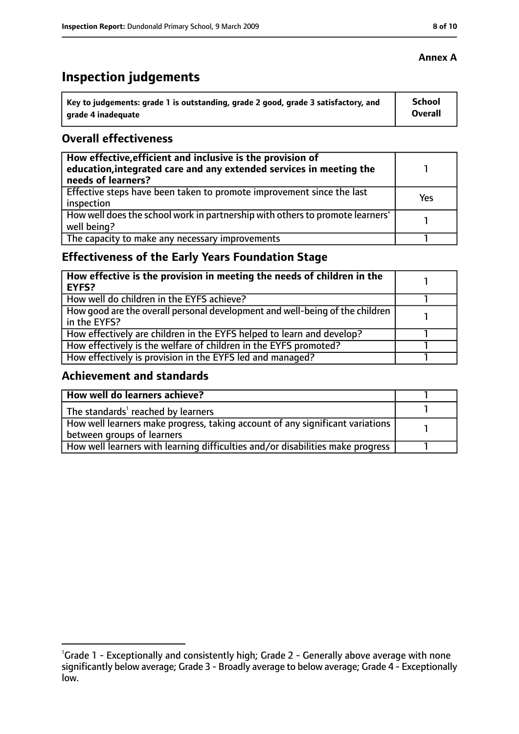# **Inspection judgements**

| \ Key to judgements: grade 1 is outstanding, grade 2 good, grade 3 satisfactory, and | <b>School</b>  |
|--------------------------------------------------------------------------------------|----------------|
| arade 4 inadequate                                                                   | <b>Overall</b> |

#### **Overall effectiveness**

| How effective, efficient and inclusive is the provision of<br>education, integrated care and any extended services in meeting the<br>needs of learners? |     |
|---------------------------------------------------------------------------------------------------------------------------------------------------------|-----|
| Effective steps have been taken to promote improvement since the last<br>inspection                                                                     | Yes |
| How well does the school work in partnership with others to promote learners'<br>well being?                                                            |     |
| The capacity to make any necessary improvements                                                                                                         |     |

# **Effectiveness of the Early Years Foundation Stage**

| How effective is the provision in meeting the needs of children in the<br>l EYFS?            |  |
|----------------------------------------------------------------------------------------------|--|
| How well do children in the EYFS achieve?                                                    |  |
| How good are the overall personal development and well-being of the children<br>in the EYFS? |  |
| How effectively are children in the EYFS helped to learn and develop?                        |  |
| How effectively is the welfare of children in the EYFS promoted?                             |  |
| How effectively is provision in the EYFS led and managed?                                    |  |

#### **Achievement and standards**

| How well do learners achieve?                                                  |  |
|--------------------------------------------------------------------------------|--|
| The standards <sup>1</sup> reached by learners                                 |  |
| How well learners make progress, taking account of any significant variations  |  |
| between groups of learners                                                     |  |
| How well learners with learning difficulties and/or disabilities make progress |  |

#### **Annex A**

<sup>&</sup>lt;sup>1</sup>Grade 1 - Exceptionally and consistently high; Grade 2 - Generally above average with none significantly below average; Grade 3 - Broadly average to below average; Grade 4 - Exceptionally low.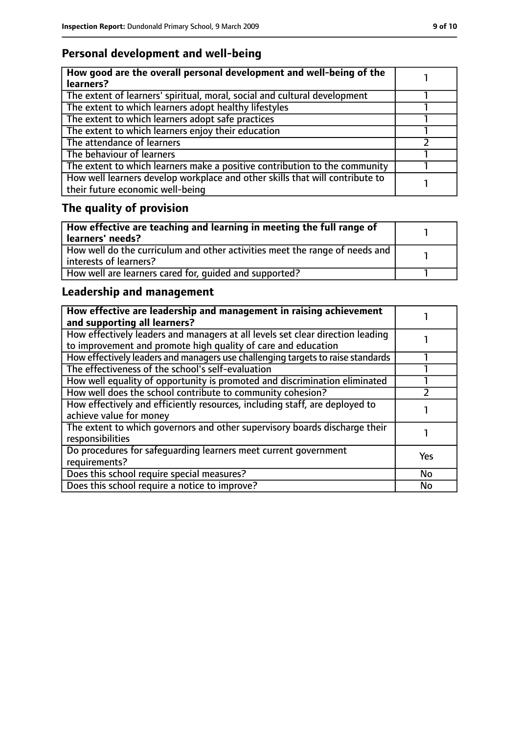# **Personal development and well-being**

| How good are the overall personal development and well-being of the<br>learners?                                 |  |
|------------------------------------------------------------------------------------------------------------------|--|
| The extent of learners' spiritual, moral, social and cultural development                                        |  |
| The extent to which learners adopt healthy lifestyles                                                            |  |
| The extent to which learners adopt safe practices                                                                |  |
| The extent to which learners enjoy their education                                                               |  |
| The attendance of learners                                                                                       |  |
| The behaviour of learners                                                                                        |  |
| The extent to which learners make a positive contribution to the community                                       |  |
| How well learners develop workplace and other skills that will contribute to<br>their future economic well-being |  |

# **The quality of provision**

| How effective are teaching and learning in meeting the full range of<br>learners' needs?              |  |
|-------------------------------------------------------------------------------------------------------|--|
| How well do the curriculum and other activities meet the range of needs and<br>interests of learners? |  |
| How well are learners cared for, quided and supported?                                                |  |

# **Leadership and management**

| How effective are leadership and management in raising achievement<br>and supporting all learners?                                              |           |
|-------------------------------------------------------------------------------------------------------------------------------------------------|-----------|
| How effectively leaders and managers at all levels set clear direction leading<br>to improvement and promote high quality of care and education |           |
| How effectively leaders and managers use challenging targets to raise standards                                                                 |           |
| The effectiveness of the school's self-evaluation                                                                                               |           |
| How well equality of opportunity is promoted and discrimination eliminated                                                                      |           |
| How well does the school contribute to community cohesion?                                                                                      |           |
| How effectively and efficiently resources, including staff, are deployed to<br>achieve value for money                                          |           |
| The extent to which governors and other supervisory boards discharge their<br>responsibilities                                                  |           |
| Do procedures for safequarding learners meet current government<br>requirements?                                                                | Yes       |
| Does this school require special measures?                                                                                                      | <b>No</b> |
| Does this school require a notice to improve?                                                                                                   | No        |